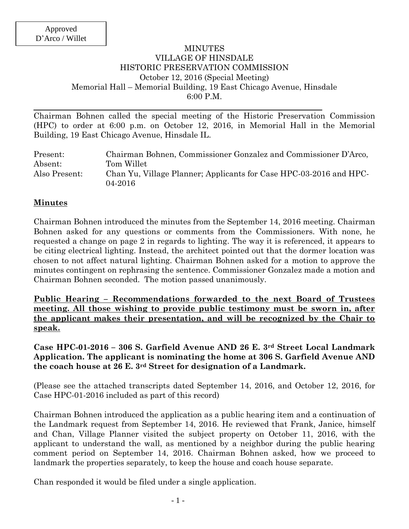#### MINUTES VILLAGE OF HINSDALE HISTORIC PRESERVATION COMMISSION October 12, 2016 (Special Meeting) Memorial Hall – Memorial Building, 19 East Chicago Avenue, Hinsdale 6:00 P.M.

Chairman Bohnen called the special meeting of the Historic Preservation Commission (HPC) to order at 6:00 p.m. on October 12, 2016, in Memorial Hall in the Memorial Building, 19 East Chicago Avenue, Hinsdale IL.

| Present:      | Chairman Bohnen, Commissioner Gonzalez and Commissioner D'Arco,               |
|---------------|-------------------------------------------------------------------------------|
| Absent:       | Tom Willet                                                                    |
| Also Present: | Chan Yu, Village Planner; Applicants for Case HPC-03-2016 and HPC-<br>04-2016 |

#### **Minutes**

Chairman Bohnen introduced the minutes from the September 14, 2016 meeting. Chairman Bohnen asked for any questions or comments from the Commissioners. With none, he requested a change on page 2 in regards to lighting. The way it is referenced, it appears to be citing electrical lighting. Instead, the architect pointed out that the dormer location was chosen to not affect natural lighting. Chairman Bohnen asked for a motion to approve the minutes contingent on rephrasing the sentence. Commissioner Gonzalez made a motion and Chairman Bohnen seconded. The motion passed unanimously.

**Public Hearing – Recommendations forwarded to the next Board of Trustees meeting. All those wishing to provide public testimony must be sworn in, after the applicant makes their presentation, and will be recognized by the Chair to speak.**

**Case HPC-01-2016 – 306 S. Garfield Avenue AND 26 E. 3rd Street Local Landmark Application. The applicant is nominating the home at 306 S. Garfield Avenue AND the coach house at 26 E. 3rd Street for designation of a Landmark.**

(Please see the attached transcripts dated September 14, 2016, and October 12, 2016, for Case HPC-01-2016 included as part of this record)

Chairman Bohnen introduced the application as a public hearing item and a continuation of the Landmark request from September 14, 2016. He reviewed that Frank, Janice, himself and Chan, Village Planner visited the subject property on October 11, 2016, with the applicant to understand the wall, as mentioned by a neighbor during the public hearing comment period on September 14, 2016. Chairman Bohnen asked, how we proceed to landmark the properties separately, to keep the house and coach house separate.

Chan responded it would be filed under a single application.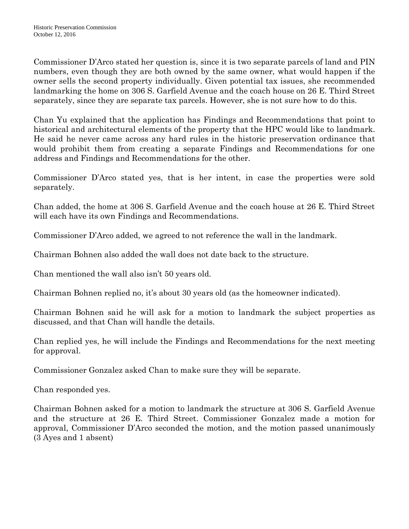Commissioner D'Arco stated her question is, since it is two separate parcels of land and PIN numbers, even though they are both owned by the same owner, what would happen if the owner sells the second property individually. Given potential tax issues, she recommended landmarking the home on 306 S. Garfield Avenue and the coach house on 26 E. Third Street separately, since they are separate tax parcels. However, she is not sure how to do this.

Chan Yu explained that the application has Findings and Recommendations that point to historical and architectural elements of the property that the HPC would like to landmark. He said he never came across any hard rules in the historic preservation ordinance that would prohibit them from creating a separate Findings and Recommendations for one address and Findings and Recommendations for the other.

Commissioner D'Arco stated yes, that is her intent, in case the properties were sold separately.

Chan added, the home at 306 S. Garfield Avenue and the coach house at 26 E. Third Street will each have its own Findings and Recommendations.

Commissioner D'Arco added, we agreed to not reference the wall in the landmark.

Chairman Bohnen also added the wall does not date back to the structure.

Chan mentioned the wall also isn't 50 years old.

Chairman Bohnen replied no, it's about 30 years old (as the homeowner indicated).

Chairman Bohnen said he will ask for a motion to landmark the subject properties as discussed, and that Chan will handle the details.

Chan replied yes, he will include the Findings and Recommendations for the next meeting for approval.

Commissioner Gonzalez asked Chan to make sure they will be separate.

Chan responded yes.

Chairman Bohnen asked for a motion to landmark the structure at 306 S. Garfield Avenue and the structure at 26 E. Third Street. Commissioner Gonzalez made a motion for approval, Commissioner D'Arco seconded the motion, and the motion passed unanimously (3 Ayes and 1 absent)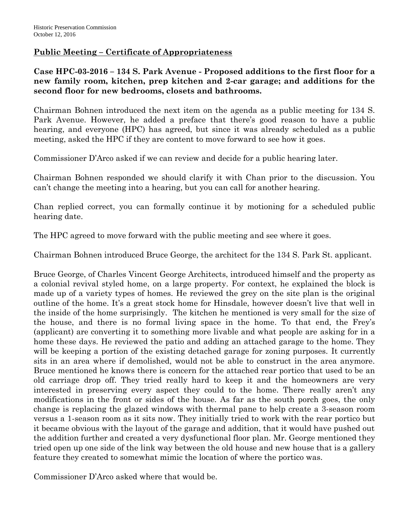## **Public Meeting – Certificate of Appropriateness**

**Case HPC-03-2016 – 134 S. Park Avenue - Proposed additions to the first floor for a new family room, kitchen, prep kitchen and 2-car garage; and additions for the second floor for new bedrooms, closets and bathrooms.**

Chairman Bohnen introduced the next item on the agenda as a public meeting for 134 S. Park Avenue. However, he added a preface that there's good reason to have a public hearing, and everyone (HPC) has agreed, but since it was already scheduled as a public meeting, asked the HPC if they are content to move forward to see how it goes.

Commissioner D'Arco asked if we can review and decide for a public hearing later.

Chairman Bohnen responded we should clarify it with Chan prior to the discussion. You can't change the meeting into a hearing, but you can call for another hearing.

Chan replied correct, you can formally continue it by motioning for a scheduled public hearing date.

The HPC agreed to move forward with the public meeting and see where it goes.

Chairman Bohnen introduced Bruce George, the architect for the 134 S. Park St. applicant.

Bruce George, of Charles Vincent George Architects, introduced himself and the property as a colonial revival styled home, on a large property. For context, he explained the block is made up of a variety types of homes. He reviewed the grey on the site plan is the original outline of the home. It's a great stock home for Hinsdale, however doesn't live that well in the inside of the home surprisingly. The kitchen he mentioned is very small for the size of the house, and there is no formal living space in the home. To that end, the Frey's (applicant) are converting it to something more livable and what people are asking for in a home these days. He reviewed the patio and adding an attached garage to the home. They will be keeping a portion of the existing detached garage for zoning purposes. It currently sits in an area where if demolished, would not be able to construct in the area anymore. Bruce mentioned he knows there is concern for the attached rear portico that used to be an old carriage drop off. They tried really hard to keep it and the homeowners are very interested in preserving every aspect they could to the home. There really aren't any modifications in the front or sides of the house. As far as the south porch goes, the only change is replacing the glazed windows with thermal pane to help create a 3-season room versus a 1-season room as it sits now. They initially tried to work with the rear portico but it became obvious with the layout of the garage and addition, that it would have pushed out the addition further and created a very dysfunctional floor plan. Mr. George mentioned they tried open up one side of the link way between the old house and new house that is a gallery feature they created to somewhat mimic the location of where the portico was.

Commissioner D'Arco asked where that would be.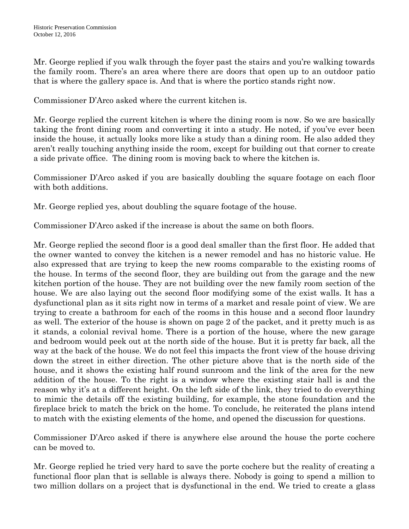Mr. George replied if you walk through the foyer past the stairs and you're walking towards the family room. There's an area where there are doors that open up to an outdoor patio that is where the gallery space is. And that is where the portico stands right now.

Commissioner D'Arco asked where the current kitchen is.

Mr. George replied the current kitchen is where the dining room is now. So we are basically taking the front dining room and converting it into a study. He noted, if you've ever been inside the house, it actually looks more like a study than a dining room. He also added they aren't really touching anything inside the room, except for building out that corner to create a side private office. The dining room is moving back to where the kitchen is.

Commissioner D'Arco asked if you are basically doubling the square footage on each floor with both additions.

Mr. George replied yes, about doubling the square footage of the house.

Commissioner D'Arco asked if the increase is about the same on both floors.

Mr. George replied the second floor is a good deal smaller than the first floor. He added that the owner wanted to convey the kitchen is a newer remodel and has no historic value. He also expressed that are trying to keep the new rooms comparable to the existing rooms of the house. In terms of the second floor, they are building out from the garage and the new kitchen portion of the house. They are not building over the new family room section of the house. We are also laying out the second floor modifying some of the exist walls. It has a dysfunctional plan as it sits right now in terms of a market and resale point of view. We are trying to create a bathroom for each of the rooms in this house and a second floor laundry as well. The exterior of the house is shown on page 2 of the packet, and it pretty much is as it stands, a colonial revival home. There is a portion of the house, where the new garage and bedroom would peek out at the north side of the house. But it is pretty far back, all the way at the back of the house. We do not feel this impacts the front view of the house driving down the street in either direction. The other picture above that is the north side of the house, and it shows the existing half round sunroom and the link of the area for the new addition of the house. To the right is a window where the existing stair hall is and the reason why it's at a different height. On the left side of the link, they tried to do everything to mimic the details off the existing building, for example, the stone foundation and the fireplace brick to match the brick on the home. To conclude, he reiterated the plans intend to match with the existing elements of the home, and opened the discussion for questions.

Commissioner D'Arco asked if there is anywhere else around the house the porte cochere can be moved to.

Mr. George replied he tried very hard to save the porte cochere but the reality of creating a functional floor plan that is sellable is always there. Nobody is going to spend a million to two million dollars on a project that is dysfunctional in the end. We tried to create a glass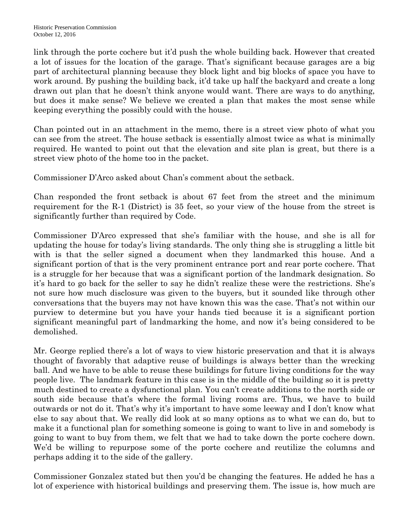link through the porte cochere but it'd push the whole building back. However that created a lot of issues for the location of the garage. That's significant because garages are a big part of architectural planning because they block light and big blocks of space you have to work around. By pushing the building back, it'd take up half the backyard and create a long drawn out plan that he doesn't think anyone would want. There are ways to do anything, but does it make sense? We believe we created a plan that makes the most sense while keeping everything the possibly could with the house.

Chan pointed out in an attachment in the memo, there is a street view photo of what you can see from the street. The house setback is essentially almost twice as what is minimally required. He wanted to point out that the elevation and site plan is great, but there is a street view photo of the home too in the packet.

Commissioner D'Arco asked about Chan's comment about the setback.

Chan responded the front setback is about 67 feet from the street and the minimum requirement for the R-1 (District) is 35 feet, so your view of the house from the street is significantly further than required by Code.

Commissioner D'Arco expressed that she's familiar with the house, and she is all for updating the house for today's living standards. The only thing she is struggling a little bit with is that the seller signed a document when they landmarked this house. And a significant portion of that is the very prominent entrance port and rear porte cochere. That is a struggle for her because that was a significant portion of the landmark designation. So it's hard to go back for the seller to say he didn't realize these were the restrictions. She's not sure how much disclosure was given to the buyers, but it sounded like through other conversations that the buyers may not have known this was the case. That's not within our purview to determine but you have your hands tied because it is a significant portion significant meaningful part of landmarking the home, and now it's being considered to be demolished.

Mr. George replied there's a lot of ways to view historic preservation and that it is always thought of favorably that adaptive reuse of buildings is always better than the wrecking ball. And we have to be able to reuse these buildings for future living conditions for the way people live. The landmark feature in this case is in the middle of the building so it is pretty much destined to create a dysfunctional plan. You can't create additions to the north side or south side because that's where the formal living rooms are. Thus, we have to build outwards or not do it. That's why it's important to have some leeway and I don't know what else to say about that. We really did look at so many options as to what we can do, but to make it a functional plan for something someone is going to want to live in and somebody is going to want to buy from them, we felt that we had to take down the porte cochere down. We'd be willing to repurpose some of the porte cochere and reutilize the columns and perhaps adding it to the side of the gallery.

Commissioner Gonzalez stated but then you'd be changing the features. He added he has a lot of experience with historical buildings and preserving them. The issue is, how much are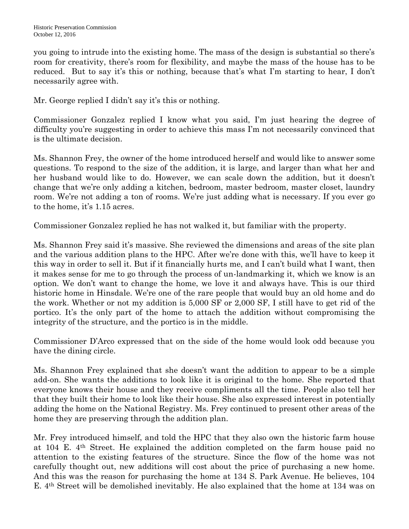you going to intrude into the existing home. The mass of the design is substantial so there's room for creativity, there's room for flexibility, and maybe the mass of the house has to be reduced. But to say it's this or nothing, because that's what I'm starting to hear, I don't necessarily agree with.

Mr. George replied I didn't say it's this or nothing.

Commissioner Gonzalez replied I know what you said, I'm just hearing the degree of difficulty you're suggesting in order to achieve this mass I'm not necessarily convinced that is the ultimate decision.

Ms. Shannon Frey, the owner of the home introduced herself and would like to answer some questions. To respond to the size of the addition, it is large, and larger than what her and her husband would like to do. However, we can scale down the addition, but it doesn't change that we're only adding a kitchen, bedroom, master bedroom, master closet, laundry room. We're not adding a ton of rooms. We're just adding what is necessary. If you ever go to the home, it's 1.15 acres.

Commissioner Gonzalez replied he has not walked it, but familiar with the property.

Ms. Shannon Frey said it's massive. She reviewed the dimensions and areas of the site plan and the various addition plans to the HPC. After we're done with this, we'll have to keep it this way in order to sell it. But if it financially hurts me, and I can't build what I want, then it makes sense for me to go through the process of un-landmarking it, which we know is an option. We don't want to change the home, we love it and always have. This is our third historic home in Hinsdale. We're one of the rare people that would buy an old home and do the work. Whether or not my addition is 5,000 SF or 2,000 SF, I still have to get rid of the portico. It's the only part of the home to attach the addition without compromising the integrity of the structure, and the portico is in the middle.

Commissioner D'Arco expressed that on the side of the home would look odd because you have the dining circle.

Ms. Shannon Frey explained that she doesn't want the addition to appear to be a simple add-on. She wants the additions to look like it is original to the home. She reported that everyone knows their house and they receive compliments all the time. People also tell her that they built their home to look like their house. She also expressed interest in potentially adding the home on the National Registry. Ms. Frey continued to present other areas of the home they are preserving through the addition plan.

Mr. Frey introduced himself, and told the HPC that they also own the historic farm house at 104 E. 4th Street. He explained the addition completed on the farm house paid no attention to the existing features of the structure. Since the flow of the home was not carefully thought out, new additions will cost about the price of purchasing a new home. And this was the reason for purchasing the home at 134 S. Park Avenue. He believes, 104 E. 4th Street will be demolished inevitably. He also explained that the home at 134 was on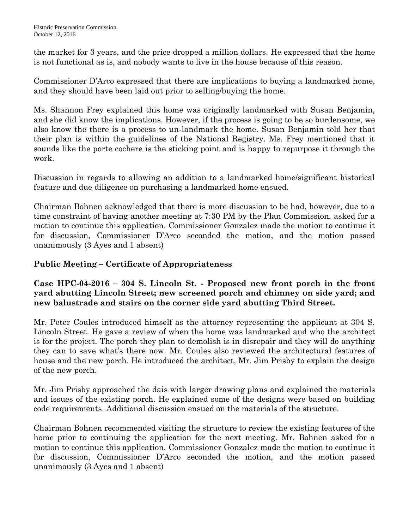the market for 3 years, and the price dropped a million dollars. He expressed that the home is not functional as is, and nobody wants to live in the house because of this reason.

Commissioner D'Arco expressed that there are implications to buying a landmarked home, and they should have been laid out prior to selling/buying the home.

Ms. Shannon Frey explained this home was originally landmarked with Susan Benjamin, and she did know the implications. However, if the process is going to be so burdensome, we also know the there is a process to un-landmark the home. Susan Benjamin told her that their plan is within the guidelines of the National Registry. Ms. Frey mentioned that it sounds like the porte cochere is the sticking point and is happy to repurpose it through the work.

Discussion in regards to allowing an addition to a landmarked home/significant historical feature and due diligence on purchasing a landmarked home ensued.

Chairman Bohnen acknowledged that there is more discussion to be had, however, due to a time constraint of having another meeting at 7:30 PM by the Plan Commission, asked for a motion to continue this application. Commissioner Gonzalez made the motion to continue it for discussion, Commissioner D'Arco seconded the motion, and the motion passed unanimously (3 Ayes and 1 absent)

# **Public Meeting – Certificate of Appropriateness**

**Case HPC-04-2016 – 304 S. Lincoln St. - Proposed new front porch in the front yard abutting Lincoln Street; new screened porch and chimney on side yard; and new balustrade and stairs on the corner side yard abutting Third Street.**

Mr. Peter Coules introduced himself as the attorney representing the applicant at 304 S. Lincoln Street. He gave a review of when the home was landmarked and who the architect is for the project. The porch they plan to demolish is in disrepair and they will do anything they can to save what's there now. Mr. Coules also reviewed the architectural features of house and the new porch. He introduced the architect, Mr. Jim Prisby to explain the design of the new porch.

Mr. Jim Prisby approached the dais with larger drawing plans and explained the materials and issues of the existing porch. He explained some of the designs were based on building code requirements. Additional discussion ensued on the materials of the structure.

Chairman Bohnen recommended visiting the structure to review the existing features of the home prior to continuing the application for the next meeting. Mr. Bohnen asked for a motion to continue this application. Commissioner Gonzalez made the motion to continue it for discussion, Commissioner D'Arco seconded the motion, and the motion passed unanimously (3 Ayes and 1 absent)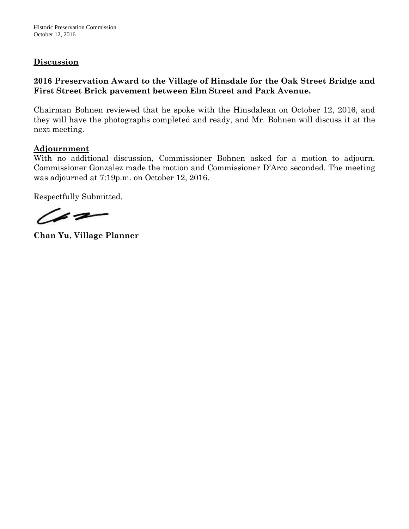Historic Preservation Commission October 12, 2016

### **Discussion**

## **2016 Preservation Award to the Village of Hinsdale for the Oak Street Bridge and First Street Brick pavement between Elm Street and Park Avenue.**

Chairman Bohnen reviewed that he spoke with the Hinsdalean on October 12, 2016, and they will have the photographs completed and ready, and Mr. Bohnen will discuss it at the next meeting.

#### **Adjournment**

With no additional discussion, Commissioner Bohnen asked for a motion to adjourn. Commissioner Gonzalez made the motion and Commissioner D'Arco seconded. The meeting was adjourned at 7:19p.m. on October 12, 2016.

Respectfully Submitted,

(62

**Chan Yu, Village Planner**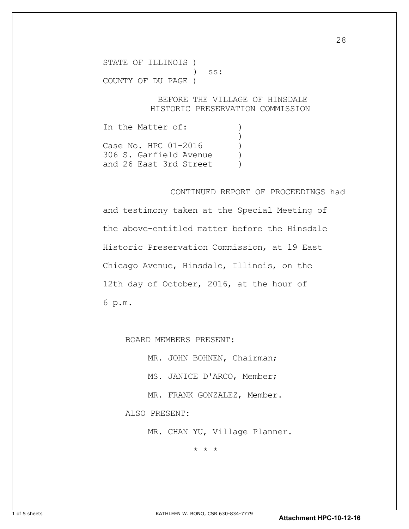STATE OF ILLINOIS ) ) ss: COUNTY OF DU PAGE )

#### BEFORE THE VILLAGE OF HINSDALE HISTORIC PRESERVATION COMMISSION

In the Matter of: )  $\overline{\phantom{a}}$ Case No. HPC 01-2016 ) 306 S. Garfield Avenue ) and 26 East 3rd Street (and 26 East 3rd Street

#### CONTINUED REPORT OF PROCEEDINGS had

and testimony taken at the Special Meeting of the above-entitled matter before the Hinsdale Historic Preservation Commission, at 19 East Chicago Avenue, Hinsdale, Illinois, on the 12th day of October, 2016, at the hour of 6 p.m.

BOARD MEMBERS PRESENT:

MR. JOHN BOHNEN, Chairman;

MS. JANICE D'ARCO, Member;

MR. FRANK GONZALEZ, Member.

ALSO PRESENT:

MR. CHAN YU, Village Planner.

\* \* \*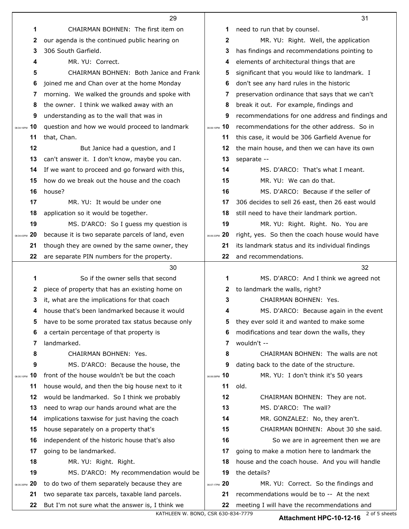|                  | 29                                               |               | 31                                               |
|------------------|--------------------------------------------------|---------------|--------------------------------------------------|
| 1                | CHAIRMAN BOHNEN: The first item on               | 1             | need to run that by counsel.                     |
| 2                | our agenda is the continued public hearing on    | 2             | MR. YU: Right. Well, the application             |
| 3                | 306 South Garfield.                              | 3             | has findings and recommendations pointing to     |
| 4                | MR. YU: Correct.                                 | 4             | elements of architectural things that are        |
| 5                | CHAIRMAN BOHNEN: Both Janice and Frank           | 5             | significant that you would like to landmark. I   |
| 6                | joined me and Chan over at the home Monday       | 6             | don't see any hard rules in the historic         |
| 7                | morning. We walked the grounds and spoke with    | 7             | preservation ordinance that says that we can't   |
| 8                | the owner. I think we walked away with an        | 8             | break it out. For example, findings and          |
| 9                | understanding as to the wall that was in         | 9             | recommendations for one address and findings and |
| 10<br>06:04:16PM | question and how we would proceed to landmark    | 06:06:10PM 10 | recommendations for the other address. So in     |
| 11               | that, Chan.                                      | 11            | this case, it would be 306 Garfield Avenue for   |
| 12               | But Janice had a question, and I                 | 12            | the main house, and then we can have its own     |
| 13               | can't answer it. I don't know, maybe you can.    | 13            | separate --                                      |
| 14               | If we want to proceed and go forward with this,  | 14            | MS. D'ARCO: That's what I meant.                 |
| 15               | how do we break out the house and the coach      | 15            | MR. YU: We can do that.                          |
| 16               | house?                                           | 16            | MS. D'ARCO: Because if the seller of             |
| 17               | MR. YU: It would be under one                    | 17            | 306 decides to sell 26 east, then 26 east would  |
| 18               | application so it would be together.             | 18            | still need to have their landmark portion.       |
| 19               | MS. D'ARCO: So I guess my question is            | 19            | MR. YU: Right. Right. No. You are                |
| 20<br>06:04:43PM | because it is two separate parcels of land, even | 06:06:33PM 20 | right, yes. So then the coach house would have   |
| 21               | though they are owned by the same owner, they    | 21            | its landmark status and its individual findings  |
| 22               | are separate PIN numbers for the property.       | 22            | and recommendations.                             |
|                  | 30                                               |               | 32                                               |
| 1                | So if the owner sells that second                | 1             | MS. D'ARCO: And I think we agreed not            |
| 2                | piece of property that has an existing home on   | $\mathbf{z}$  | to landmark the walls, right?                    |
| 3                | it, what are the implications for that coach     | 3             | CHAIRMAN BOHNEN: Yes.                            |
|                  | house that's been landmarked because it would    |               | MS. D'ARCO: Because again in the event           |
| 5                | have to be some prorated tax status because only | 5             | they ever sold it and wanted to make some        |
| 6                | a certain percentage of that property is         | 6             | modifications and tear down the walls, they      |
| 7                | landmarked.                                      | 7             | wouldn't --                                      |
| 8                | CHAIRMAN BOHNEN: Yes.                            | 8             | CHAIRMAN BOHNEN: The walls are not               |
| 9                | MS. D'ARCO: Because the house, the               | 9             | dating back to the date of the structure.        |
| 10<br>06:05:10PM | front of the house wouldn't be but the coach     | 06:06:58PM 10 | MR. YU: I don't think it's 50 years              |
| 11               | house would, and then the big house next to it   | 11            | old.                                             |
| 12               | would be landmarked. So I think we probably      | 12            | CHAIRMAN BOHNEN: They are not.                   |
| 13               | need to wrap our hands around what are the       | 13            | MS. D'ARCO: The wall?                            |
| 14               | implications taxwise for just having the coach   | 14            | MR. GONZALEZ: No, they aren't.                   |
| 15               | house separately on a property that's            | 15            | CHAIRMAN BOHNEN: About 30 she said.              |
| 16               | independent of the historic house that's also    | 16            | So we are in agreement then we are               |
| 17               | going to be landmarked.                          | 17            | going to make a motion here to landmark the      |
| 18               | MR. YU: Right. Right.                            | 18            | house and the coach house. And you will handle   |
| 19               | MS. D'ARCO: My recommendation would be           | 19            | the details?                                     |
| 20<br>06:05:35PM | to do two of them separately because they are    | 06:07:17PM 20 | MR. YU: Correct. So the findings and             |
| 21               | two separate tax parcels, taxable land parcels.  | 21            | recommendations would be to -- At the next       |
| 22               | But I'm not sure what the answer is, I think we  | 22            | meeting I will have the recommendations and      |

KATHLEEN W. BONO, CSR 630-834-7779 **2 Attachment HPC-10-12-16** 2 of 5 sheets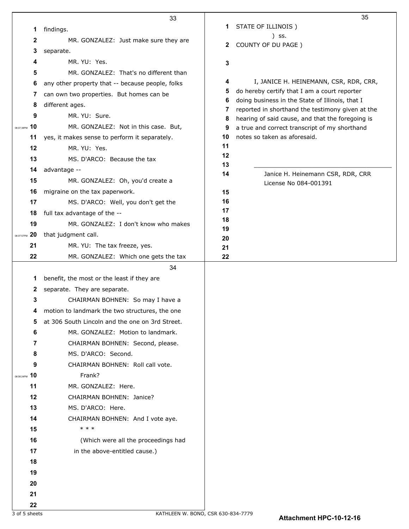|                  | 33                                               |          | 35                                                                                                  |
|------------------|--------------------------------------------------|----------|-----------------------------------------------------------------------------------------------------|
| 1                | findings.                                        | 1        | STATE OF ILLINOIS)                                                                                  |
| $\mathbf{2}$     | MR. GONZALEZ: Just make sure they are            |          | ) SS.                                                                                               |
| 3                | separate.                                        | 2        | COUNTY OF DU PAGE )                                                                                 |
| 4                | MR. YU: Yes.                                     | 3        |                                                                                                     |
| 5                | MR. GONZALEZ: That's no different than           |          |                                                                                                     |
| 6                | any other property that -- because people, folks | 4        | I, JANICE H. HEINEMANN, CSR, RDR, CRR,                                                              |
| 7                | can own two properties. But homes can be         | 5        | do hereby certify that I am a court reporter                                                        |
| 8                | different ages.                                  | 6<br>7   | doing business in the State of Illinois, that I<br>reported in shorthand the testimony given at the |
| 9                | MR. YU: Sure.                                    | 8        | hearing of said cause, and that the foregoing is                                                    |
| 10<br>06:07:38PM | MR. GONZALEZ: Not in this case. But,             | 9        | a true and correct transcript of my shorthand                                                       |
| 11               | yes, it makes sense to perform it separately.    | 10       | notes so taken as aforesaid.                                                                        |
| 12               | MR. YU: Yes.                                     | 11       |                                                                                                     |
| 13               | MS. D'ARCO: Because the tax                      | 12<br>13 |                                                                                                     |
| 14               | advantage --                                     | 14       | Janice H. Heinemann CSR, RDR, CRR                                                                   |
| 15               | MR. GONZALEZ: Oh, you'd create a                 |          | License No 084-001391                                                                               |
| 16               | migraine on the tax paperwork.                   | 15       |                                                                                                     |
| 17               | MS. D'ARCO: Well, you don't get the              | 16       |                                                                                                     |
| 18               | full tax advantage of the --                     | 17       |                                                                                                     |
| 19               | MR. GONZALEZ: I don't know who makes             | 18<br>19 |                                                                                                     |
| 20<br>06:07:57PM | that judgment call.                              | 20       |                                                                                                     |
| 21               | MR. YU: The tax freeze, yes.                     | 21       |                                                                                                     |
| 22               | MR. GONZALEZ: Which one gets the tax             | 22       |                                                                                                     |
|                  | 34                                               |          |                                                                                                     |
| 1                | benefit, the most or the least if they are       |          |                                                                                                     |
| 2                | separate. They are separate.                     |          |                                                                                                     |
| 3                | CHAIRMAN BOHNEN: So may I have a                 |          |                                                                                                     |
| 4                | motion to landmark the two structures, the one   |          |                                                                                                     |
| 5                | at 306 South Lincoln and the one on 3rd Street.  |          |                                                                                                     |
| 6                | MR. GONZALEZ: Motion to landmark.                |          |                                                                                                     |
| 7                | CHAIRMAN BOHNEN: Second, please.                 |          |                                                                                                     |
| 8                | MS. D'ARCO: Second.                              |          |                                                                                                     |
| 9                | CHAIRMAN BOHNEN: Roll call vote.                 |          |                                                                                                     |
| 10<br>06:08:24PM | Frank?                                           |          |                                                                                                     |
| 11               | MR. GONZALEZ: Here.                              |          |                                                                                                     |
| 12               | CHAIRMAN BOHNEN: Janice?                         |          |                                                                                                     |
| 13               | MS. D'ARCO: Here.                                |          |                                                                                                     |
| 14               | CHAIRMAN BOHNEN: And I vote aye.<br>* * *        |          |                                                                                                     |
| 15               |                                                  |          |                                                                                                     |
| 16               | (Which were all the proceedings had              |          |                                                                                                     |
| 17               | in the above-entitled cause.)                    |          |                                                                                                     |
| 18               |                                                  |          |                                                                                                     |
| 19               |                                                  |          |                                                                                                     |
| 20<br>21         |                                                  |          |                                                                                                     |
| 22               |                                                  |          |                                                                                                     |
|                  |                                                  |          |                                                                                                     |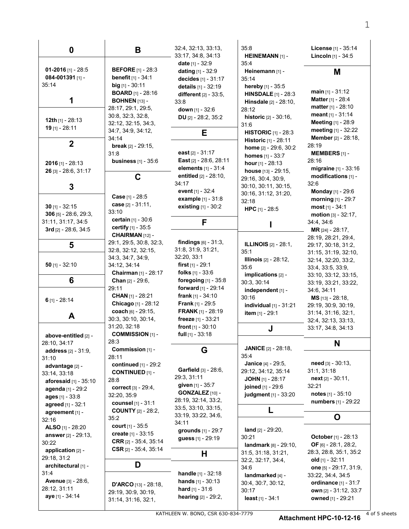| 0                                                                                                                              | B                                                                                                                                  | 32:4, 32:13, 33:13,<br>33.17, 34.8, 34.13<br>date $[1] - 32.9$                                                           | 35:8<br>HEINEMANN [1] -<br>35:4                                                                                     | License [1] - 35:14<br><b>Lincoln</b> $[1] - 34:5$                                                                        |
|--------------------------------------------------------------------------------------------------------------------------------|------------------------------------------------------------------------------------------------------------------------------------|--------------------------------------------------------------------------------------------------------------------------|---------------------------------------------------------------------------------------------------------------------|---------------------------------------------------------------------------------------------------------------------------|
| 01-2016 [1] - 28:5<br>084-001391 $[1]$ -<br>35:14                                                                              | <b>BEFORE</b> [1] - 28:3<br><b>benefit</b> $[1] - 34:1$<br>big $[1] - 30:11$                                                       | <b>dating</b> $[1] - 32:9$<br>decides [1] - 31:17<br>details [1] - 32:19                                                 | Heinemann [1] -<br>35.14<br>hereby [1] - 35:5                                                                       | М                                                                                                                         |
| 1                                                                                                                              | <b>BOARD</b> [1] - 28:16<br><b>BOHNEN</b> [13] -<br>28:17, 29:1, 29:5,                                                             | <b>different</b> $[2] - 33.5$ ,<br>33.8<br>down $[1] - 32:6$                                                             | <b>HINSDALE</b> $[1]$ - 28:3<br><b>Hinsdale</b> $[2] - 28.10$ ,<br>28:12                                            | <b>main</b> $[1] - 31:12$<br><b>Matter [1] - 28:4</b><br><b>matter</b> $[1] - 28:10$                                      |
| 12th [1] - 28:13<br>19 [1] - 28:11                                                                                             | 30:8, 32:3, 32:8,<br>32:12, 32:15, 34:3,                                                                                           | DU [2] - $28:2, 35:2$                                                                                                    | <b>historic</b> $[2] - 30:16$ ,<br>31:6                                                                             | meant $[1] - 31:14$<br><b>Meeting</b> [1] - 28:9<br>meeting [1] - 32:22                                                   |
| $\mathbf{2}$                                                                                                                   | 34:7, 34:9, 34:12,<br>34:14<br><b>break</b> $[2] - 29.15$ ,                                                                        | Е                                                                                                                        | <b>HISTORIC</b> $[1]$ - 28:3<br><b>Historic</b> [1] - 28:11<br>home $[2] - 29.6, 30.2$                              | <b>Member</b> [2] - 28:18,<br>28:19                                                                                       |
| $2016$ [1] - 28:13                                                                                                             | 31:8<br><b>business</b> $[1] - 35:6$                                                                                               | east $[2] - 31.17$<br>East [2] - 28:6, 28:11<br>elements [1] - 31:4                                                      | <b>homes</b> $[1] - 33:7$<br><b>hour</b> $[1] - 28:13$                                                              | <b>MEMBERS</b> $[1]$ -<br>28:16<br>migraine [1] - 33:16                                                                   |
| 26 [3] - 28:6, 31:17<br>3                                                                                                      | C                                                                                                                                  | entitled [2] - 28:10,<br>34.17                                                                                           | <b>house</b> $[13] - 29:15$ ,<br>29:16, 30:4, 30:9,<br>30:10, 30:11, 30:15,                                         | modifications [1] -<br>32:6                                                                                               |
| $30$ [1] - 32:15                                                                                                               | <b>Case</b> $[1] - 28.5$<br>case [2] - 31:11,                                                                                      | event [1] - 32:4<br><b>example</b> [1] - 31:8<br>existing $[1] - 30.2$                                                   | 30:16, 31:12, 31:20,<br>32:18                                                                                       | <b>Monday</b> [1] - 29:6<br>morning $[1] - 29:7$                                                                          |
| $306$ [5] - 28:6, 29:3,<br>31:11, 31:17, 34:5                                                                                  | 33:10<br><b>certain</b> $[1] - 30.6$                                                                                               | F                                                                                                                        | <b>HPC</b> $[1]$ - 28:5                                                                                             | most $[1] - 34:1$<br>motion $[3] - 32:17$ ,<br>34:4, 34:6                                                                 |
| $3rd$ [2] - 28:6, 34:5                                                                                                         | certify [1] - 35:5<br>CHAIRMAN <sub>[12]</sub> -<br>29:1, 29:5, 30:8, 32:3,                                                        | <b>findings</b> $[6] - 31:3$ ,                                                                                           | <b>ILLINOIS</b> [2] - 28:1,                                                                                         | <b>MR</b> [24] - $28:17$ ,<br>28:19, 28:21, 29:4,                                                                         |
| 5                                                                                                                              | 32:8, 32:12, 32:15,<br>34:3, 34:7, 34:9,                                                                                           | 31.8, 31.9, 31.21,<br>32:20, 33:1                                                                                        | 35:1<br><b>Illinois</b> $[2] - 28:12$ ,                                                                             | 29:17, 30:18, 31:2,<br>31:15, 31:19, 32:10,<br>32:14, 32:20, 33:2,                                                        |
| 50 $[1] - 32:10$<br>6                                                                                                          | 34:12, 34:14<br>Chairman [1] - 28:17<br><b>Chan</b> $[2] - 29.6$ ,                                                                 | <b>first</b> $[1] - 29:1$<br>folks $[1]$ - 33:6<br><b>foregoing</b> $[1] - 35.8$                                         | 35.6<br>implications $[2]$ -                                                                                        | 33:4, 33:5, 33:9,<br>33:10, 33:12, 33:15,                                                                                 |
|                                                                                                                                | 29:11<br><b>CHAN</b> $[1]$ - 28:21                                                                                                 | forward [1] - 29:14<br><b>frank</b> $[1] - 34:10$                                                                        | 30:3, 30:14<br>independent [1] -<br>30:16                                                                           | 33:19, 33:21, 33:22,<br>34:6, 34:11<br>MS [13] - 28:18,                                                                   |
| $6$ [1] - 28:14<br>A                                                                                                           | Chicago [1] - 28:12<br>coach [6] - 29:15,                                                                                          | <b>Frank</b> $[1]$ - 29:5<br><b>FRANK</b> $[1]$ - 28:19                                                                  | individual [1] - 31:21<br><b>item</b> $[1] - 29:1$                                                                  | 29:19, 30:9, 30:19,<br>31:14, 31:16, 32:1,                                                                                |
| above-entitled [2] -                                                                                                           | 30:3, 30:10, 30:14,<br>31:20, 32:18<br><b>COMMISSION</b> [1] -                                                                     | freeze $[1] - 33:21$<br>front $[1]$ - 30:10<br><b>full</b> $[1] - 33:18$                                                 | J                                                                                                                   | 32:4, 32:13, 33:13,<br>33:17, 34:8, 34:13                                                                                 |
| 28:10, 34:17<br><b>address</b> [2] - 31:9,                                                                                     | 28:3<br>Commission [1] -                                                                                                           | G                                                                                                                        | <b>JANICE</b> [2] - 28:18,<br>35.4                                                                                  | N                                                                                                                         |
| 31:10<br>advantage [2] -<br>33:14, 33:18<br>aforesaid [1] - 35:10<br>agenda [1] - 29:2<br>ages [1] - 33:8<br>agreed [1] - 32:1 | 28:11<br>continued [1] - 29:2<br><b>CONTINUED [1] -</b><br>28:8<br><b>correct</b> [3] - 29:4,<br>32:20, 35:9<br>counsel [1] - 31:1 | Garfield [3] - 28.6,<br>29:3, 31:11<br>given [1] - 35:7<br>GONZALEZ [10] -<br>28:19, 32:14, 33:2,<br>33.5, 33.10, 33.15, | Janice [4] - 29:5,<br>29:12, 34:12, 35:14<br><b>JOHN</b> $[1]$ - 28:17<br>joined [1] - 29:6<br>judgment [1] - 33:20 | $need$ [3] - 30:13,<br>31:1, 31:18<br>$next_{[2]} - 30:11,$<br>32:21<br>notes $[1] - 35:10$<br><b>numbers</b> [1] - 29:22 |
| agreement [1] -<br>32:16                                                                                                       | <b>COUNTY</b> [2] - 28:2,<br>35.2                                                                                                  | 33:19, 33:22, 34:6,<br>34.11                                                                                             | L                                                                                                                   | O                                                                                                                         |
| ALSO $[1]$ - 28:20<br>answer $[2] - 29:13$ ,<br>30:22<br>application [2] -<br>29:18, 31:2                                      | court [1] - 35:5<br>create $[1] - 33:15$<br><b>CRR</b> $[2] - 35:4, 35:14$<br>CSR $[2] - 35:4, 35:14$                              | grounds [1] - 29:7<br>guess [1] - 29:19<br>н                                                                             | land $[2] - 29:20$ ,<br>30:21<br>landmark [8] - 29:10,<br>31:5, 31:18, 31:21,                                       | October [1] - 28:13<br>OF [6] - 28:1, 28:2,<br>28:3, 28:8, 35:1, 35:2<br>old $[1] - 32:11$                                |
| architectural [1] -<br>31:4                                                                                                    | D                                                                                                                                  | handle [1] - 32:18                                                                                                       | 32:2, 32:17, 34:4,<br>34:6<br>landmarked [4] -                                                                      | one [5] - 29:17, 31:9,<br>33:22, 34:4, 34:5                                                                               |
| Avenue [3] - 28.6,<br>28:12, 31:11<br>aye [1] - 34:14                                                                          | <b>D'ARCO</b> [13] - 28:18,<br>29:19, 30:9, 30:19,<br>31:14, 31:16, 32:1,                                                          | <b>hands</b> $[1] - 30:13$<br><b>hard</b> $[1] - 31:6$<br>hearing [2] - 29:2,                                            | 30:4, 30:7, 30:12,<br>30:17<br>least $[1] - 34:1$                                                                   | ordinance [1] - 31:7<br>own [2] - 31:12, 33:7<br>owned [1] - 29:21                                                        |

KATHLEEN W. BONO, CSR 630-834-7779 4 of 5 sheets

**Attachment HPC-10-12-16**